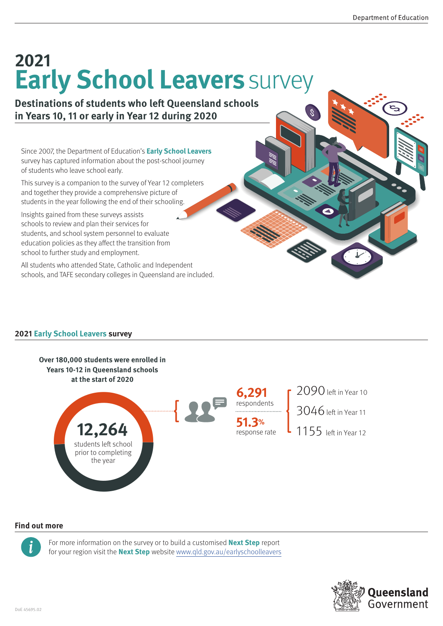# **Early School Leavers** survey **2021**

### **Destinations of students who left Queensland schools in Years 10, 11 or early in Year 12 during 2020**

Since 2007, the Department of Education's **Early School Leavers** survey has captured information about the post-school journey of students who leave school early.

This survey is a companion to the survey of Year 12 completers and together they provide a comprehensive picture of students in the year following the end of their schooling.

Insights gained from these surveys assists schools to review and plan their services for students, and school system personnel to evaluate education policies as they affect the transition from school to further study and employment.

All students who attended State, Catholic and Independent schools, and TAFE secondary colleges in Queensland are included.

### **2021 Early School Leavers survey**



#### **Find out more**



For more information on the survey or to build a customised **Next Step** report for your region visit the **Next Step** website [www.qld.gov.au/](www.qld.gov.au/earlyschoolleavers)earlyschoolleavers

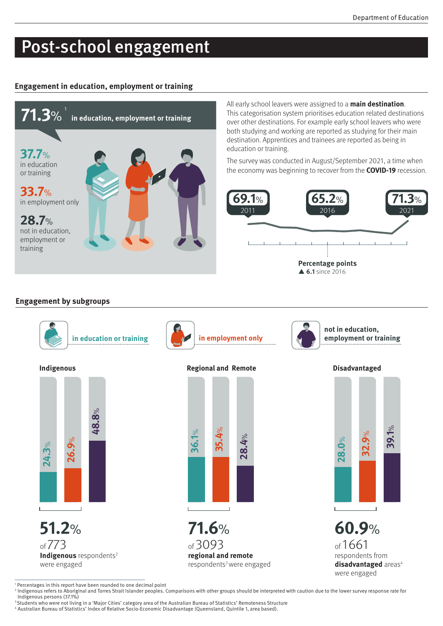# Post-school engagement

#### **Engagement in education, employment or training**



All early school leavers were assigned to a **main destination**. This categorisation system prioritises education related destinations over other destinations. For example early school leavers who were both studying and working are reported as studying for their main destination. Apprentices and trainees are reported as being in education or training.

The survey was conducted in August/September 2021, a time when the economy was beginning to recover from the **COVID-19** recession.



#### **Engagement by subgroups**



<sup>1</sup> Percentages in this report have been rounded to one decimal point

<sup>2</sup> Indigenous refers to Aboriginal and Torres Strait Islander peoples. Comparisons with other groups should be interpreted with caution due to the lower survey response rate for Indigenous persons (37.1%)

<sup>3</sup> Students who were not living in a 'Major Cities' category area of the Australian Bureau of Statistics' Remoteness Structure

<sup>4</sup> Australian Bureau of Statistics' Index of Relative Socio-Economic Disadvantage (Queensland, Quintile 1, area based).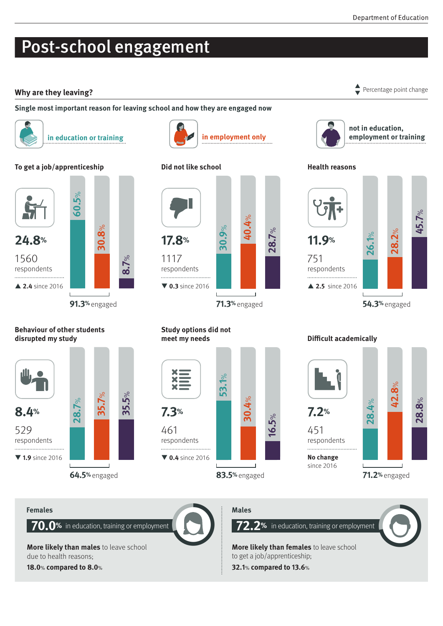## Post-school engagement

### Why are they leaving? **Percentage point change** point change

#### **Single most important reason for leaving school and how they are engaged now**



**in education or training**  $\left| \bigcup \right|$  **in employment only** 

#### **To get a job/apprenticeship**



#### **Behaviour of other students disrupted my study**



respondents 





#### **Study options did not meet my needs**



**Difficult academically**



respondents

**No change**  since 2016

**42.8 28.8** %



 $\blacktriangledown$ 



**not in education, employment or training**

### **Health reasons**



**28.4**

 $\aleph$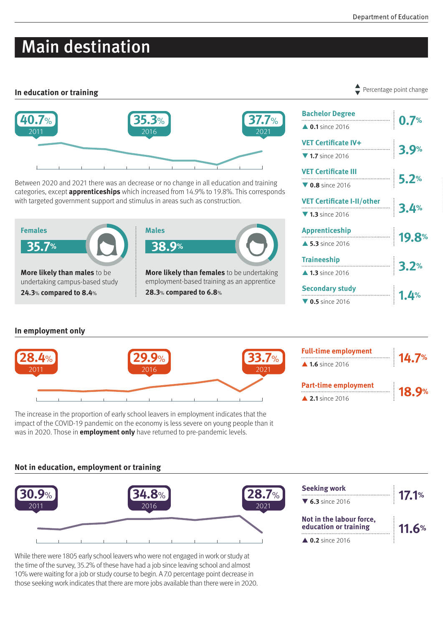# Main destination

#### **In education or training**



Between 2020 and 2021 there was an decrease or no change in all education and training categories, except **apprenticeships** which increased from 14.9% to 19.8%. This corresponds with targeted government support and stimulus in areas such as construction.



| <u> 0.7% in the contract of the contract of the contract of the contract of the contract of the contract of the contract of the contract of the contract of the contract of the contract of the contract of the contract of the </u> |  |
|--------------------------------------------------------------------------------------------------------------------------------------------------------------------------------------------------------------------------------------|--|
| $\triangle$ 0.1 since 2016                                                                                                                                                                                                           |  |
| VET Certificate IV+<br>$\overline{\phantom{1}}$ 3.9%                                                                                                                                                                                 |  |
| $\nabla$ 1.7 since 2016                                                                                                                                                                                                              |  |
|                                                                                                                                                                                                                                      |  |
| $\nabla$ 0.8 since 2016                                                                                                                                                                                                              |  |
| VET Certificate I-II/other<br>———————————————————— 3.4%                                                                                                                                                                              |  |
| $\nabla$ 1.3 since 2016                                                                                                                                                                                                              |  |
| Apprenticeship<br><b>19.8</b> %                                                                                                                                                                                                      |  |
| $\triangle$ 5.3 since 2016                                                                                                                                                                                                           |  |
| <b>Traineeship</b><br>$\begin{array}{c c c c} \hline \textbf{3.2\%} \end{array}$                                                                                                                                                     |  |
| $\triangle$ 1.3 since 2016                                                                                                                                                                                                           |  |
| <b>Secondary study</b>                                                                                                                                                                                                               |  |
| $\begin{array}{ c c c }\n\hline\n\textbf{1.4}\n\end{array}$<br>$\nabla$ 0.5 since 2016                                                                                                                                               |  |

**0.7% Bachelor Degree**

### **In employment only**



The increase in the proportion of early school leavers in employment indicates that the impact of the COVID-19 pandemic on the economy is less severe on young people than it was in 2020. Those in **employment only** have returned to pre-pandemic levels.

#### **Not in education, employment or training**



While there were 1805 early school leavers who were not engaged in work or study at the time of the survey, 35.2% of these have had a job since leaving school and almost 10% were waiting for a job or study course to begin. A 7.0 percentage point decrease in those seeking work indicates that there are more jobs available than there were in 2020.

#### Percentage point change  $\blacktriangledown$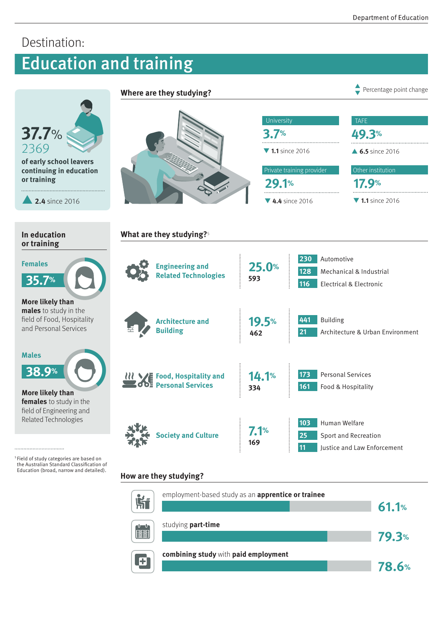**78.6%**

**79.3%**

#### Destination: Education and training **Where are they studying? Percentage point change Percentage point change**  $\blacktriangledown$ **University** TAFE **37.7**% **3.7% 49.3%** 2369 **1.1** since 2016 ▲ **6.5** since 2016 **of early school leavers**  Other institution **continuing in education** Private training provider **or training 29.1% 17.9%** p**2.4** since 2016 ▼ 4.4 since 2016 ▼ 1.1 since 2016 **In education What are they studying?**<sup>5</sup> **or training** Females<br>35.7%<br>More likely than<br>males to study in the **230** Automotive **Females 25.0% Engineering and 128** Mechanical & Industrial **Related Technologies 35.7% 593 116** Electrical & Electronic **males** to study in the field of Food, Hospitality **441** Building **Architecture and 19.5%** and Personal Services **Building 21** Architecture & Urban Environment **462**  $\overline{\mathbf{3}}$ **Males 38.9 % 173** Personal Services **14.1%** *RR* Food, Hospitality and **Personal Services 161** Food & Hospitality **334 More likely than females** to study in the field of Engineering and Related Technologies **103** Human Welfare **7.1% Society and Culture25** Sport and Recreation **169 11 Justice and Law Enforcement** .......................... 5 Field of study categories are based on the Australian Standard Classification of Education (broad, narrow and detailed). **How are they studying?** employment-based study as an **apprentice or trainee Ří 61.1%** studying **part-time**

studying part-time<br>10061.10061.10061.10061.10061.10061.10061.10061.10061.10061.10061.10061.10061.1006<br>10061.10061.10061.10061.10061.10061.10061.10061.10061.10061.10061.10061.10061.10061.10061.10061.10061.10061.1<br>10061.1006 studying **part-time**<br>10079.3<br>10089.3 Microsoft March 2008  $\frac{1}{\left[\frac{1}{2}\right]}\left[\frac{1}{2}\right]$ **combining study** with **paid employment**<br> **explores the complex of the complex of the complex of the complex of the complex of the complex of the complex of the complex of the complex of the complex of the complex of the c** E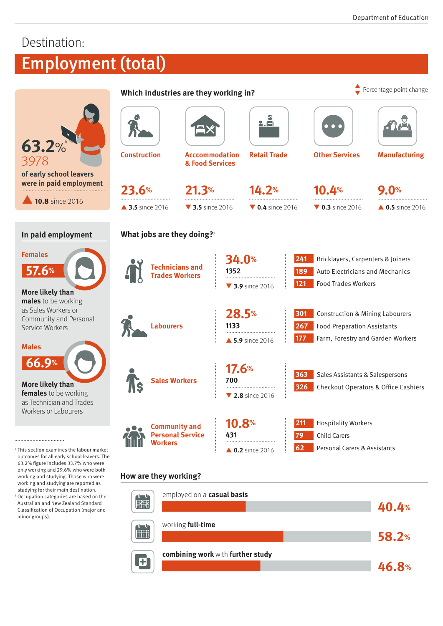**46.8%**

**58.2%**

## Destination:

# Employment (total)

|                                                                                                                                                                                                                                                                                                                                                      | Which industries are they working in?                             |                                          |                                                     |                                     | Percentage point change             |                                                                                                                       |  |  |
|------------------------------------------------------------------------------------------------------------------------------------------------------------------------------------------------------------------------------------------------------------------------------------------------------------------------------------------------------|-------------------------------------------------------------------|------------------------------------------|-----------------------------------------------------|-------------------------------------|-------------------------------------|-----------------------------------------------------------------------------------------------------------------------|--|--|
| 63.2%                                                                                                                                                                                                                                                                                                                                                |                                                                   |                                          |                                                     |                                     | $\bullet$ $\bullet$ (               |                                                                                                                       |  |  |
| 3978                                                                                                                                                                                                                                                                                                                                                 | <b>Construction</b>                                               | <b>Acccommodation</b><br>& Food Services |                                                     | <b>Retail Trade</b>                 | <b>Other Services</b>               | <b>Manufacturing</b>                                                                                                  |  |  |
| of early school leavers<br>were in paid employment                                                                                                                                                                                                                                                                                                   | 23.6%                                                             | 21.3%                                    |                                                     | 14.2%                               | 10.4%                               | 9.0%                                                                                                                  |  |  |
| 10.8 since 2016                                                                                                                                                                                                                                                                                                                                      | ▲ 3.5 since 2016                                                  | ▼ 3.5 since 2016                         |                                                     | $\blacktriangledown$ 0.4 since 2016 | $\blacktriangledown$ 0.3 since 2016 | $\triangle$ 0.5 since 2016                                                                                            |  |  |
| In paid employment                                                                                                                                                                                                                                                                                                                                   | What jobs are they doing?7                                        |                                          |                                                     |                                     |                                     |                                                                                                                       |  |  |
| <b>Females</b><br>57.6%                                                                                                                                                                                                                                                                                                                              |                                                                   |                                          | <b>34.0%</b>                                        |                                     | 241                                 | Bricklayers, Carpenters & Joiners<br><b>Auto Electricians and Mechanics</b>                                           |  |  |
|                                                                                                                                                                                                                                                                                                                                                      | <b>Technicians and<br/>Trades Workers</b>                         |                                          | 1352                                                |                                     | 189                                 |                                                                                                                       |  |  |
|                                                                                                                                                                                                                                                                                                                                                      |                                                                   |                                          | 121<br><b>73.9</b> since 2016                       |                                     |                                     | <b>Food Trades Workers</b>                                                                                            |  |  |
| More likely than<br>males to be working<br>as Sales Workers or<br>Community and Personal<br>Service Workers<br><b>Males</b>                                                                                                                                                                                                                          | <b>Labourers</b>                                                  |                                          | 28.5%<br> 301<br>1133<br>177<br>▲ 5.9 since 2016    |                                     | 267                                 | <b>Construction &amp; Mining Labourers</b><br><b>Food Preparation Assistants</b><br>Farm, Forestry and Garden Workers |  |  |
| 66.9%<br><b>Sales Workers</b><br>More likely than<br>females to be working<br>as Technician and Trades<br>Workers or Labourers                                                                                                                                                                                                                       |                                                                   |                                          | 17.6%<br>700<br>$\blacktriangledown$ 2.8 since 2016 |                                     | 363<br>326                          | Sales Assistants & Salespersons<br>Checkout Operators & Office Cashiers                                               |  |  |
| <sup>6</sup> This section examines the labour market<br>outcomes for all early school leavers. The<br>63.2% figure includes 33.7% who were<br>only working and 29.6% who were both<br>working and studying. Those who were<br>working and studying are reported as<br>studying for their main destination.<br>Occupation categories are based on the | <b>Community and</b><br><b>Personal Service</b><br><b>Workers</b> | 431                                      | 10.8%                                               |                                     | 211                                 | <b>Hospitality Workers</b>                                                                                            |  |  |
|                                                                                                                                                                                                                                                                                                                                                      |                                                                   |                                          |                                                     |                                     | 79<br>62                            | <b>Child Carers</b><br>Personal Carers & Assistants                                                                   |  |  |
|                                                                                                                                                                                                                                                                                                                                                      | How are they working?<br>u u                                      | employed on a casual basis               |                                                     | $\triangle$ 0.2 since 2016          |                                     |                                                                                                                       |  |  |
| Australian and New Zealand Standard<br>Classification of Occupation (major and<br>minor groups).                                                                                                                                                                                                                                                     | <b>ETH</b>                                                        |                                          |                                                     |                                     |                                     | 40.4%                                                                                                                 |  |  |

working **full-time**

 $\frac{U-U}{\prod_{i=1}^{n}U}$ 

Ð

e and the second state of the second state of the second state of the second state of the second state of the<br>10058.2010 - Andre State of the second state of the second state of the second state of the second state of th<br>1

**combining work** with **further study combining work** with **further study**